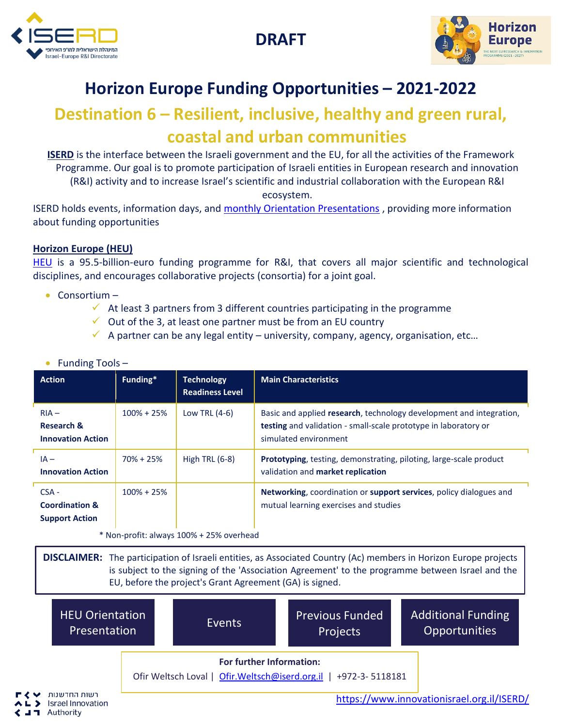



## **Horizon Europe Funding Opportunities – 2021-2022**

## **Destination 6 – Resilient, inclusive, healthy and green rural, coastal and urban communities**

**ISERD** is the interface between the Israeli government and the EU, for all the activities of the Framework Programme. Our goal is to promote participation of Israeli entities in European research and innovation (R&I) activity and to increase Israel's scientific and industrial collaboration with the European R&I ecosystem.

ISERD holds events, information days, and [monthly Orientation Presentations](https://www.innovationisrael.org.il/ISERD/page/news-events) , providing more information about funding opportunities

## **Horizon Europe (HEU)**

[HEU](https://ec.europa.eu/info/horizon-europe_en) is a 95.5-billion-euro funding programme for R&I, that covers all major scientific and technological disciplines, and encourages collaborative projects (consortia) for a joint goal.

- Consortium
	- $\checkmark$  At least 3 partners from 3 different countries participating in the programme
	- $\checkmark$  Out of the 3, at least one partner must be from an EU country
	- $\checkmark$  A partner can be any legal entity university, company, agency, organisation, etc...

| <b>Action</b>                                                 | Funding*       | <b>Technology</b><br><b>Readiness Level</b> | <b>Main Characteristics</b>                                                                                                                                            |  |  |  |  |
|---------------------------------------------------------------|----------------|---------------------------------------------|------------------------------------------------------------------------------------------------------------------------------------------------------------------------|--|--|--|--|
| $RIA -$<br><b>Research &amp;</b><br><b>Innovation Action</b>  | $100\% + 25\%$ | Low TRL $(4-6)$                             | Basic and applied research, technology development and integration,<br><b>testing</b> and validation - small-scale prototype in laboratory or<br>simulated environment |  |  |  |  |
| $IA -$<br><b>Innovation Action</b>                            | $70\% + 25\%$  | High TRL $(6-8)$                            | <b>Prototyping, testing, demonstrating, piloting, large-scale product</b><br>validation and market replication                                                         |  |  |  |  |
| $CSA -$<br><b>Coordination &amp;</b><br><b>Support Action</b> | $100\% + 25\%$ |                                             | Networking, coordination or support services, policy dialogues and<br>mutual learning exercises and studies                                                            |  |  |  |  |
| * Non-profit: always 100% + 25% overhead                      |                |                                             |                                                                                                                                                                        |  |  |  |  |

**DISCLAIMER:** The participation of Israeli entities, as Associated Country (Ac) members in Horizon Europe projects is subject to the signing of the 'Association Agreement' to the programme between Israel and the EU, before the project's Grant Agreement (GA) is signed.



## • Funding Tools –